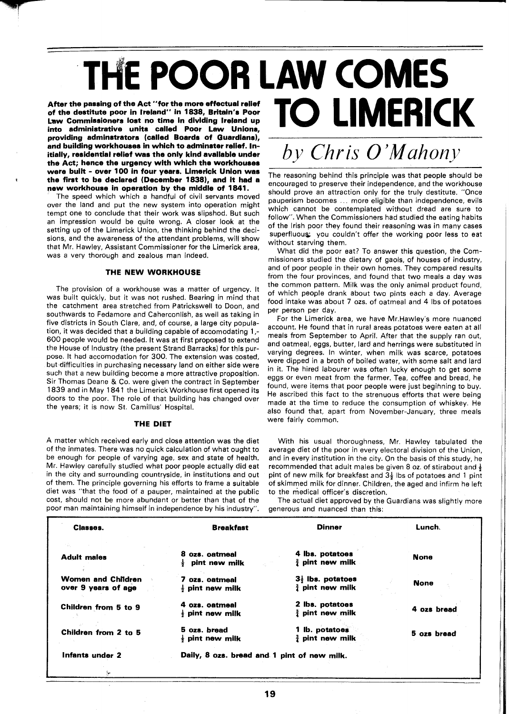# **E POOR LAW COMES TO LIMERICK**

**After the passing of the Act "for the more effectual relief of the destitute poor in treland" in 1838, Britain's Poor Law Commissioners lost no time in dividing Ireland up into administrative units called Poor Law Unions, providing adminstrators (called Boards of Guardians), and building workhouses in which to adminster relief. Initially, residential relief was the only kind available under the Act; hence the urgency with which the workhouses were built** - **over 100 in four years. Limerick Union was the first to be declared (December 1838), and it had a new workhouse in operation by the middle of 1841.** 

The speed which which a handful of civil servants moved over the land and put the new system into operation might tempt one to conclude that their work was slipshod. But such an impression would be quite wrong. A closer look at the setting up of the Limerick Union, the thinking behind the decisions, and the awareness of the attendant problems, will show that Mr. Hawley, Assistant Commissioner for the Limerick area, was a very thorough and zealous man indeed.

### **THE NEW WORKHOUSE**

The provision of a workhouse was a matter of urgency. It was built quickly, but it was not rushed. Bearing in mind that the catchment area stretched from Patrickswell to Doon, and southwards to Fedamore and Caherconlish, as well as taking in five districts in South Clare, and, of course, a large city population, it was decided that a building capable of accomodating 1 ,- 600 people would be needed. It was at first proposed to extend the House of Industry (the present Strand Barracks) for this purpose. It had accomodation for 300. The extension was costed, but difficulties in purchasing necessary land on either side were such that a new building become a more attractive proposition. Sir Thomas Deane & Co. were given the contract in September 1839 and in May 1841 the Limerick Workhouse first opened its doors to the poor. The role of that building has changed over the years; it is now St. Camillus' Hospital.

#### **THE DIET**

A matter which received early and close attention was the diet of the inmates. There was no quick calculation of what ought to be enough for people of varying age, sex and state of health. Mr. Hawley carefully studied what poor people actually did eat in the city and surrounding countryside, in institutions and out of them. The principle governing his efforts to frame a suitable diet was "that the food of a pauper, maintained at the public cost, should not be more abundant or better than that of the poor man maintaining himself in independence by his industry".

# *by Chris O'Mahony*

The reasoning behind this principle was that people should be encouraged to preserve their independence, and the workhouse should prove an attraction only for the truly destitute. "Once pauperism becomes ... more eligible than independence, evils which cannot be contemplated without dread are sure to follow". When the Commissioners had studied the eating habits of the Irish poor they found their reasoning was in many cases superfluous: you couldn't offer the working poor less to eat without starving them.

What did the poor eat? To answer this question, the Commissioners studied the dietary of gaols, of houses of industry, and of poor people in their own homes. They compared results from the four provinces, and found that two meals a day was the common pattern. Milk was the only animal product found, of which people drank about two pints each a day. Average food intake was about 7 ozs. of oatmeal and 4 Ibs of potatoes per person per day.

For the Limerick area, we have Mr.Hawley's more nuanced account. He found that in rural areas potatoes were eaten at all meals from September to April. After that the supply ran out, and oatmeal, eggs, butter, lard and herrings were substituted in varying degrees. In winter, when milk was scarce, potatoes were dipped in a broth of boiled water, with some salt and lard in it. The hired labourer was often lucky enough to get some eggs or even meat from the farmer. Tea, coffee and bread, he found, were items that poor people were just begihning to buy. He ascribed this fact to the strenuous efforts that were being made at the time to reduce the consumption of whiskey. He also found that, apart from November-January, three meals were fairly common.

With his usual thoroughness, Mr. Hawley tabulated the average diet of the poor in every electoral division of the Union, and in every institution in the city. On the basis of this study, he recommended that adult males be given 8 oz. of stirabout and **<sup>f</sup>** pint of new milk for breakfast and  $3\frac{1}{2}$  lbs of potatoes and 1 pint of skimmed milk for dinner. Children, the aged and infirm he left to the medical officer's discretion.

The actual diet approved by the Guardians was slightly more generous and nuanced than this:

| Classes.                                  | <b>Breakfast</b>                            | <b>Dinner</b>                | Lunch.      |
|-------------------------------------------|---------------------------------------------|------------------------------|-------------|
| <b>Adult</b> males                        | 8 ozs. oatmeal                              | 4 lbs. potatoes              | <b>None</b> |
|                                           | pint new milk                               | $\frac{3}{2}$ pint new milk  |             |
| Women and Children<br>over 9 years of age | 7 ozs. oatmeal                              | $3\frac{1}{2}$ lbs. potatoes | <b>None</b> |
|                                           | $\frac{1}{2}$ pint new milk                 | $\frac{3}{4}$ pint new milk  |             |
| Children from 5 to 9                      | 4 ozs. oatmeal                              | 2 lbs. potatoes              | 4 ozs bread |
|                                           | $\frac{1}{2}$ pint new milk                 | $\frac{3}{4}$ pint new milk  |             |
| Children from 2 to 5                      | 5 ozs. bread                                | 1 lb. potatoes               | 5 ozs bread |
|                                           | $\frac{1}{2}$ pint new milk                 | $\frac{3}{4}$ pint new milk  |             |
| Infants under 2                           | Daily, 8 ozs. bread and 1 pint of new milk. |                              |             |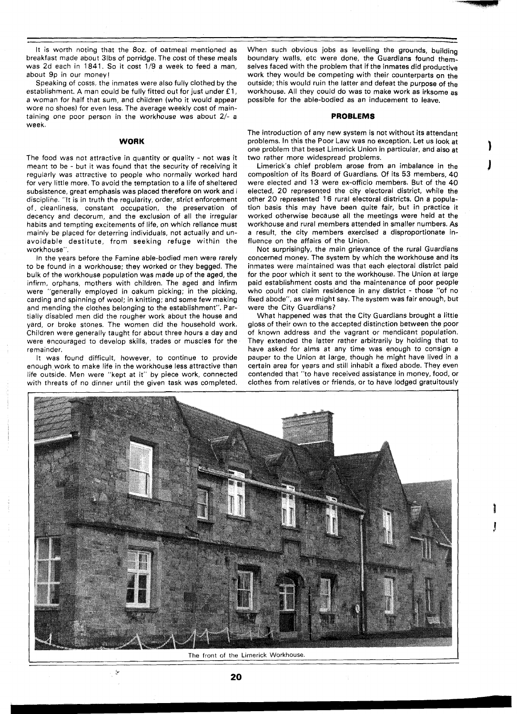It is worth noting that the 80z. of oatmeal mentioned as breakfast made about 31bs of porridge. The cost of these meals was 2d each in 1841. So it cost 1/9 a week to feed a man, about 9p in our money!

Speaking of costs, the inmates were also fully clothed by the establishment. A man could be fully fitted out for just under **f l,**  a woman for half that sum, and children (who it would appear wore no shoes) for even less. The average weekly cost of maintaining one poor person in the workhouse was about **2/-** a week.

### **WORK**

The food was not attractive in quantity or quality - not was it meant to be - but it was found that the security of receiving it regularly was attractive to people who normally worked hard for very little more. To avoid the temptation to a life of sheltered subsistence, great emphasis was placed therefore on work and l discipline. "It is in truth the regularity, order, strict enforcement of. cleanliness, constant occupation, the preservation of decency and decorum, and the exclusion of all the irregular habits and tempting excitements of life, on which reliance must mainly be placed for deterring individuals, not actually and unavoidable destitute, from seeking refuge within the workhouse".

In the years before the Famine able-bodied men were rarely to be found in a workhouse; they worked or they begged. The bulk of the workhouse population was made up of the aged, the infirm, orphans, mothers with children. The aged and infirm were "generally employed in oakum picking; in the picking, carding and spinning of wool; in knitting; and some few making and mending the clothes belonging to the establishment". Partially disabled men did the rougher work about the house and yard, or broke stones. The women did the household work. Children were generally taught for about three hours a day and were encouraged to develop skills, trades or muscles for the remainder.

It was found difficult, however, to continue to provide enough work to make life in the workhouse less attractive than life outside. Men were "kept at it" by piece work, connected with threats of no dinner until the given task was completed.

 $\sum_{i \in I}$ 

When such obvious jobs as levelling the grounds, building boundary walls, etc were done, the Guardians found themselves faced with the problem that if the inmates did productive work they would be competing with their counterparts on the outside; this would ruin the latter and defeat the purpose of the workhouse. All they could do was to make work as irksome as possible for the able-bodied as an inducement to leave.

### **PROBLEMS**

The introduction of any new system is not without its attendant problems. In this the Poor Law was no exception. Let us look at one problem that beset Limerick Union in particular, and also at two rather more widespread problems.

Limerick's chief problem arose from an imbalance in the composition of its Board of Guardians. Of its 53 members, 40 were elected and 13 were ex-officio members. But of the 40 elected, 20 represented the city electoral district, while the other 20 represented 16 rural electoral districts. On a population basis this may have been quite fair, but in practice it worked otherwise because all the meetings were held at the workhouse and rural members attended in smaller numbers. As a result, the city members exercised a disproportionate influence on the affairs of the Union.

Not surprisingly, the main grievance of the rural Guardians concerned money. The system by which the workhouse and its inmates were maintained was that each electoral district paid for the poor which it sent to the workhouse. The Union at large paid establishment costs and the maintenance of poor people who could not claim residence in any district - those "of no fixed abode", as we might say. The system was fair enough, but were the City Guardians?

What happened was that the City Guardians brought a little gloss of their own to the accepted distinction between the poor of known address and the vagrant or mendicant population. They extended the latter rather arbitrarily by holding that to have asked for alms at any time was enough to consign a pauper to the Union at large, though he might have lived in a certain area for years and still inhabit a fixed abode. They even contended that "to have received assistance in money, food, or clothes from relatives or friends, or to have lodged gratuitously



The front of the Limerick Workhouse.